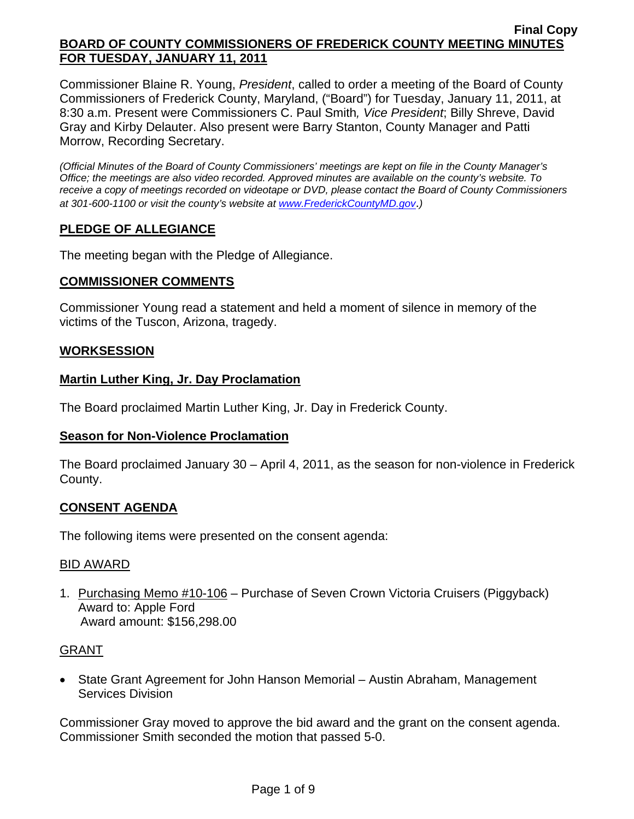Commissioner Blaine R. Young, *President*, called to order a meeting of the Board of County Commissioners of Frederick County, Maryland, ("Board") for Tuesday, January 11, 2011, at 8:30 a.m. Present were Commissioners C. Paul Smith*, Vice President*; Billy Shreve, David Gray and Kirby Delauter. Also present were Barry Stanton, County Manager and Patti Morrow, Recording Secretary.

*(Official Minutes of the Board of County Commissioners' meetings are kept on file in the County Manager's Office; the meetings are also video recorded. Approved minutes are available on the county's website. To receive a copy of meetings recorded on videotape or DVD, please contact the Board of County Commissioners at 301-600-1100 or visit the county's website at [www.FrederickCountyMD.gov](http://www.frederickcountymd.gov/)*.*)* 

# **PLEDGE OF ALLEGIANCE**

The meeting began with the Pledge of Allegiance.

## **COMMISSIONER COMMENTS**

Commissioner Young read a statement and held a moment of silence in memory of the victims of the Tuscon, Arizona, tragedy.

### **WORKSESSION**

## **Martin Luther King, Jr. Day Proclamation**

The Board proclaimed Martin Luther King, Jr. Day in Frederick County.

### **Season for Non-Violence Proclamation**

The Board proclaimed January 30 – April 4, 2011, as the season for non-violence in Frederick County.

# **CONSENT AGENDA**

The following items were presented on the consent agenda:

### BID AWARD

1. Purchasing Memo #10-106 – Purchase of Seven Crown Victoria Cruisers (Piggyback) Award to: Apple Ford Award amount: \$156,298.00

### GRANT

• State Grant Agreement for John Hanson Memorial – Austin Abraham, Management Services Division

Commissioner Gray moved to approve the bid award and the grant on the consent agenda. Commissioner Smith seconded the motion that passed 5-0.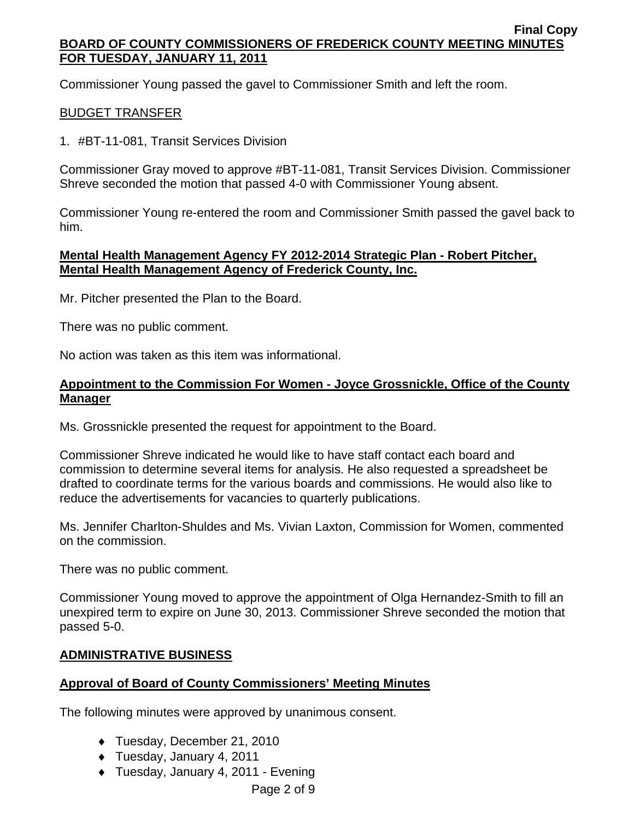Commissioner Young passed the gavel to Commissioner Smith and left the room.

### BUDGET TRANSFER

1. #BT-11-081, Transit Services Division

Commissioner Gray moved to approve #BT-11-081, Transit Services Division. Commissioner Shreve seconded the motion that passed 4-0 with Commissioner Young absent.

Commissioner Young re-entered the room and Commissioner Smith passed the gavel back to him.

#### **Mental Health Management Agency FY 2012-2014 Strategic Plan - Robert Pitcher, Mental Health Management Agency of Frederick County, Inc.**

Mr. Pitcher presented the Plan to the Board.

There was no public comment.

No action was taken as this item was informational.

#### **Appointment to the Commission For Women - Joyce Grossnickle, Office of the County Manager**

Ms. Grossnickle presented the request for appointment to the Board.

Commissioner Shreve indicated he would like to have staff contact each board and commission to determine several items for analysis. He also requested a spreadsheet be drafted to coordinate terms for the various boards and commissions. He would also like to reduce the advertisements for vacancies to quarterly publications.

Ms. Jennifer Charlton-Shuldes and Ms. Vivian Laxton, Commission for Women, commented on the commission.

There was no public comment.

Commissioner Young moved to approve the appointment of Olga Hernandez-Smith to fill an unexpired term to expire on June 30, 2013. Commissioner Shreve seconded the motion that passed 5-0.

### **ADMINISTRATIVE BUSINESS**

### **Approval of Board of County Commissioners' Meeting Minutes**

The following minutes were approved by unanimous consent.

- ♦ Tuesday, December 21, 2010
- ♦ Tuesday, January 4, 2011
- ♦ Tuesday, January 4, 2011 Evening

Page 2 of 9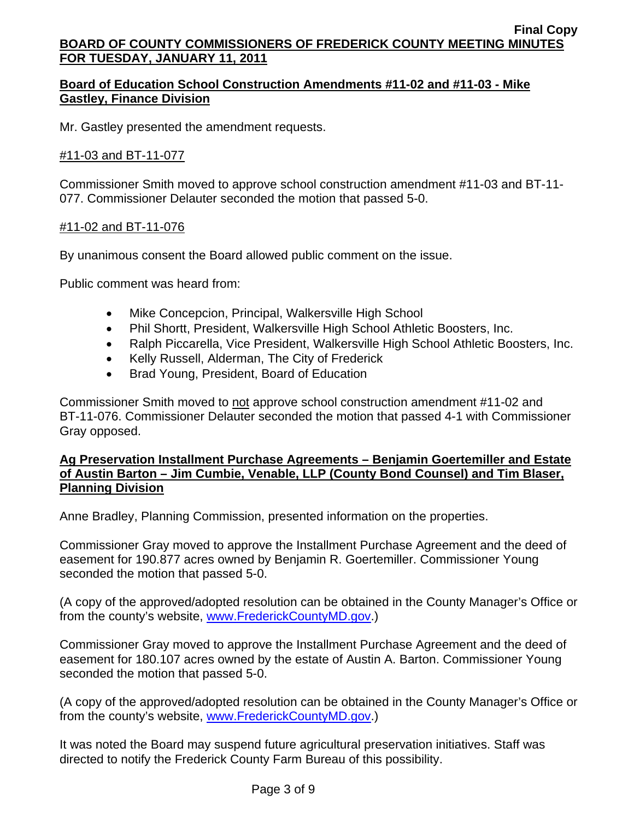## **Board of Education School Construction Amendments #11-02 and #11-03 - Mike Gastley, Finance Division**

Mr. Gastley presented the amendment requests.

### #11-03 and BT-11-077

Commissioner Smith moved to approve school construction amendment #11-03 and BT-11- 077. Commissioner Delauter seconded the motion that passed 5-0.

#### #11-02 and BT-11-076

By unanimous consent the Board allowed public comment on the issue.

Public comment was heard from:

- Mike Concepcion, Principal, Walkersville High School
- Phil Shortt, President, Walkersville High School Athletic Boosters, Inc.
- Ralph Piccarella, Vice President, Walkersville High School Athletic Boosters, Inc.
- Kelly Russell, Alderman, The City of Frederick
- Brad Young, President, Board of Education

Commissioner Smith moved to not approve school construction amendment #11-02 and BT-11-076. Commissioner Delauter seconded the motion that passed 4-1 with Commissioner Gray opposed.

#### **Ag Preservation Installment Purchase Agreements – Benjamin Goertemiller and Estate of Austin Barton – Jim Cumbie, Venable, LLP (County Bond Counsel) and Tim Blaser, Planning Division**

Anne Bradley, Planning Commission, presented information on the properties.

Commissioner Gray moved to approve the Installment Purchase Agreement and the deed of easement for 190.877 acres owned by Benjamin R. Goertemiller. Commissioner Young seconded the motion that passed 5-0.

(A copy of the approved/adopted resolution can be obtained in the County Manager's Office or from the county's website, [www.FrederickCountyMD.gov](http://www.frederickcountymd.gov/).)

Commissioner Gray moved to approve the Installment Purchase Agreement and the deed of easement for 180.107 acres owned by the estate of Austin A. Barton. Commissioner Young seconded the motion that passed 5-0.

(A copy of the approved/adopted resolution can be obtained in the County Manager's Office or from the county's website, [www.FrederickCountyMD.gov](http://www.frederickcountymd.gov/).)

It was noted the Board may suspend future agricultural preservation initiatives. Staff was directed to notify the Frederick County Farm Bureau of this possibility.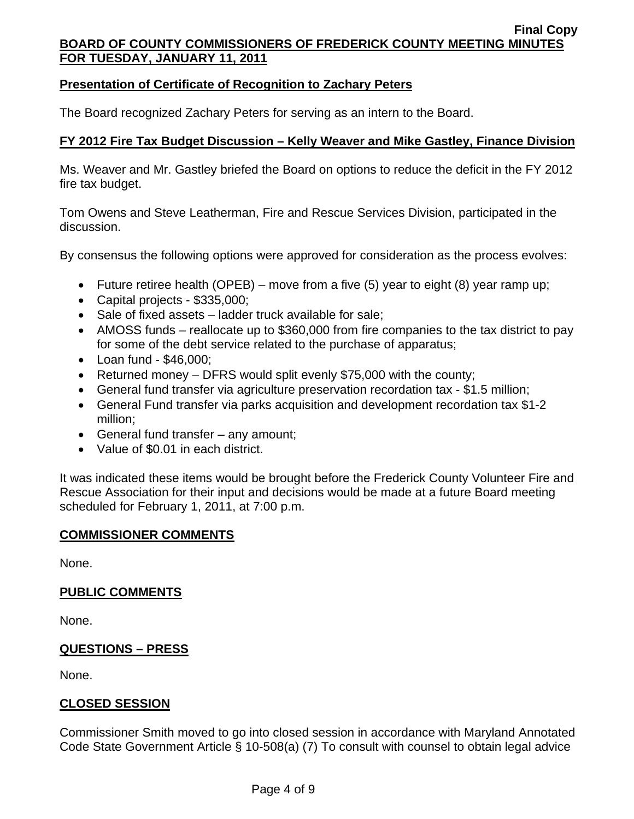### **Presentation of Certificate of Recognition to Zachary Peters**

The Board recognized Zachary Peters for serving as an intern to the Board.

## **FY 2012 Fire Tax Budget Discussion – Kelly Weaver and Mike Gastley, Finance Division**

Ms. Weaver and Mr. Gastley briefed the Board on options to reduce the deficit in the FY 2012 fire tax budget.

Tom Owens and Steve Leatherman, Fire and Rescue Services Division, participated in the discussion.

By consensus the following options were approved for consideration as the process evolves:

- Future retiree health (OPEB) move from a five  $(5)$  year to eight  $(8)$  year ramp up;
- Capital projects \$335,000;
- Sale of fixed assets ladder truck available for sale;
- AMOSS funds reallocate up to \$360,000 from fire companies to the tax district to pay for some of the debt service related to the purchase of apparatus;
- Loan fund \$46,000;
- Returned money DFRS would split evenly \$75,000 with the county;
- General fund transfer via agriculture preservation recordation tax \$1.5 million;
- General Fund transfer via parks acquisition and development recordation tax \$1-2 million;
- General fund transfer any amount;
- Value of \$0.01 in each district.

It was indicated these items would be brought before the Frederick County Volunteer Fire and Rescue Association for their input and decisions would be made at a future Board meeting scheduled for February 1, 2011, at 7:00 p.m.

#### **COMMISSIONER COMMENTS**

None.

### **PUBLIC COMMENTS**

None.

### **QUESTIONS – PRESS**

None.

# **CLOSED SESSION**

Commissioner Smith moved to go into closed session in accordance with Maryland Annotated Code State Government Article § 10-508(a) (7) To consult with counsel to obtain legal advice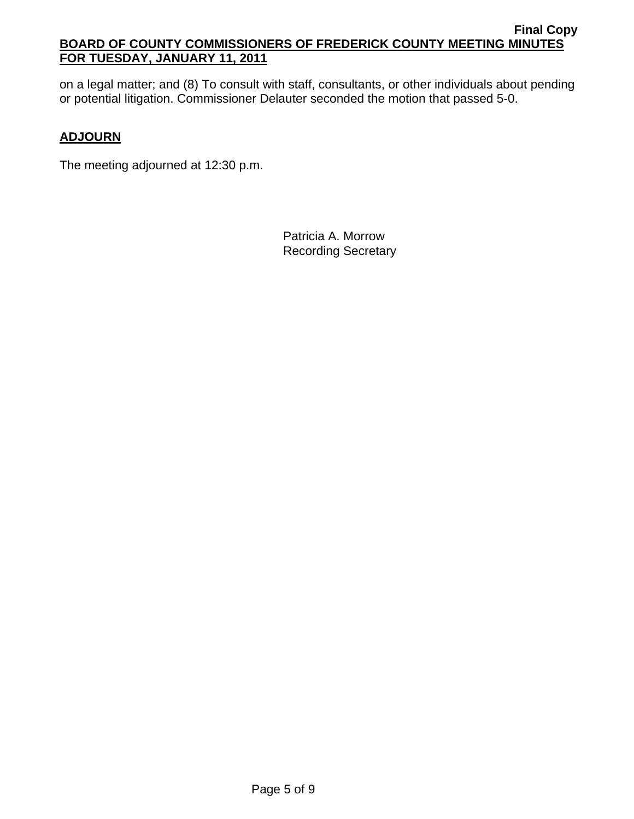on a legal matter; and (8) To consult with staff, consultants, or other individuals about pending or potential litigation. Commissioner Delauter seconded the motion that passed 5-0.

## **ADJOURN**

The meeting adjourned at 12:30 p.m.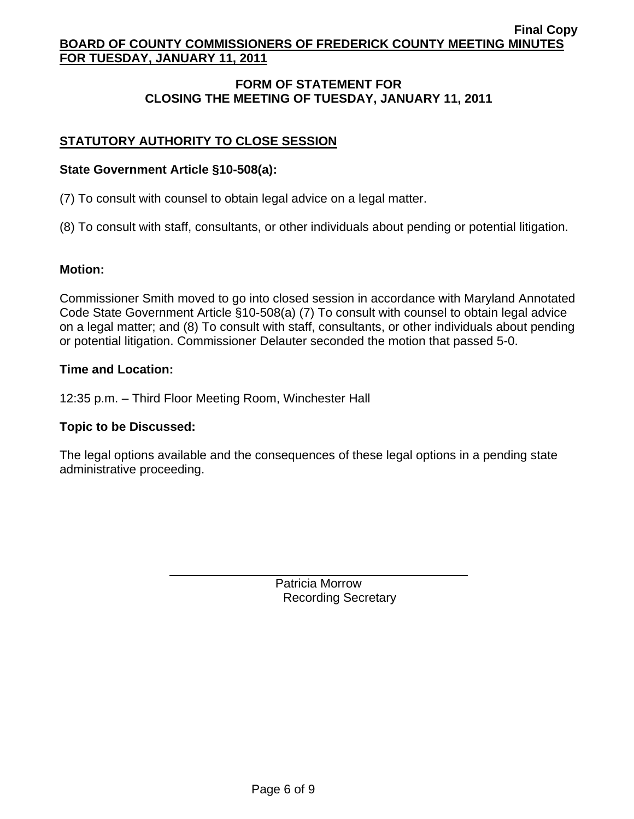# **FORM OF STATEMENT FOR CLOSING THE MEETING OF TUESDAY, JANUARY 11, 2011**

# **STATUTORY AUTHORITY TO CLOSE SESSION**

### **State Government Article §10-508(a):**

(7) To consult with counsel to obtain legal advice on a legal matter.

(8) To consult with staff, consultants, or other individuals about pending or potential litigation.

### **Motion:**

Commissioner Smith moved to go into closed session in accordance with Maryland Annotated Code State Government Article §10-508(a) (7) To consult with counsel to obtain legal advice on a legal matter; and (8) To consult with staff, consultants, or other individuals about pending or potential litigation. Commissioner Delauter seconded the motion that passed 5-0.

### **Time and Location:**

12:35 p.m. – Third Floor Meeting Room, Winchester Hall

### **Topic to be Discussed:**

 $\overline{a}$ 

The legal options available and the consequences of these legal options in a pending state administrative proceeding.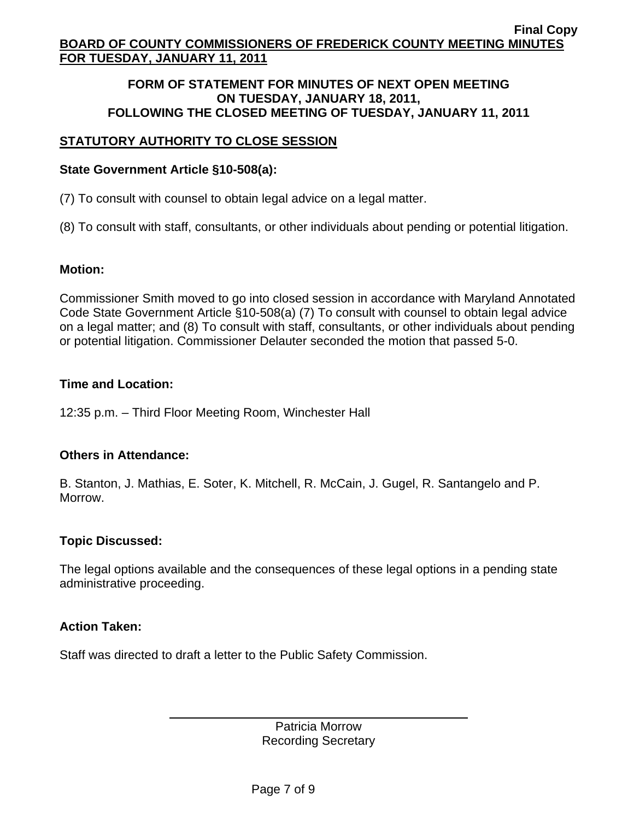#### **FORM OF STATEMENT FOR MINUTES OF NEXT OPEN MEETING ON TUESDAY, JANUARY 18, 2011, FOLLOWING THE CLOSED MEETING OF TUESDAY, JANUARY 11, 2011**

## **STATUTORY AUTHORITY TO CLOSE SESSION**

### **State Government Article §10-508(a):**

(7) To consult with counsel to obtain legal advice on a legal matter.

(8) To consult with staff, consultants, or other individuals about pending or potential litigation.

#### **Motion:**

Commissioner Smith moved to go into closed session in accordance with Maryland Annotated Code State Government Article §10-508(a) (7) To consult with counsel to obtain legal advice on a legal matter; and (8) To consult with staff, consultants, or other individuals about pending or potential litigation. Commissioner Delauter seconded the motion that passed 5-0.

#### **Time and Location:**

12:35 p.m. – Third Floor Meeting Room, Winchester Hall

### **Others in Attendance:**

B. Stanton, J. Mathias, E. Soter, K. Mitchell, R. McCain, J. Gugel, R. Santangelo and P. Morrow.

### **Topic Discussed:**

The legal options available and the consequences of these legal options in a pending state administrative proceeding.

### **Action Taken:**

Staff was directed to draft a letter to the Public Safety Commission.

 $\overline{a}$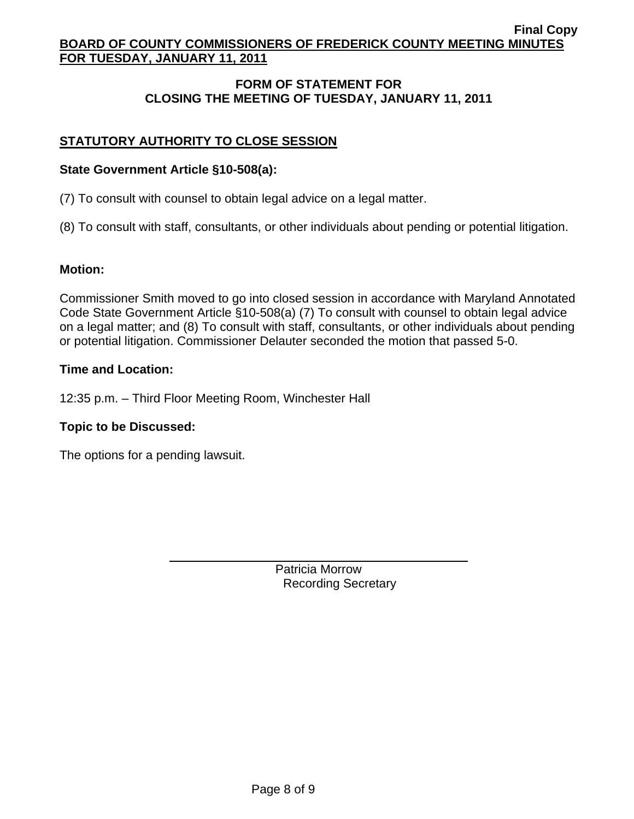# **FORM OF STATEMENT FOR CLOSING THE MEETING OF TUESDAY, JANUARY 11, 2011**

# **STATUTORY AUTHORITY TO CLOSE SESSION**

### **State Government Article §10-508(a):**

(7) To consult with counsel to obtain legal advice on a legal matter.

(8) To consult with staff, consultants, or other individuals about pending or potential litigation.

### **Motion:**

Commissioner Smith moved to go into closed session in accordance with Maryland Annotated Code State Government Article §10-508(a) (7) To consult with counsel to obtain legal advice on a legal matter; and (8) To consult with staff, consultants, or other individuals about pending or potential litigation. Commissioner Delauter seconded the motion that passed 5-0.

### **Time and Location:**

12:35 p.m. – Third Floor Meeting Room, Winchester Hall

### **Topic to be Discussed:**

The options for a pending lawsuit.

 $\overline{a}$